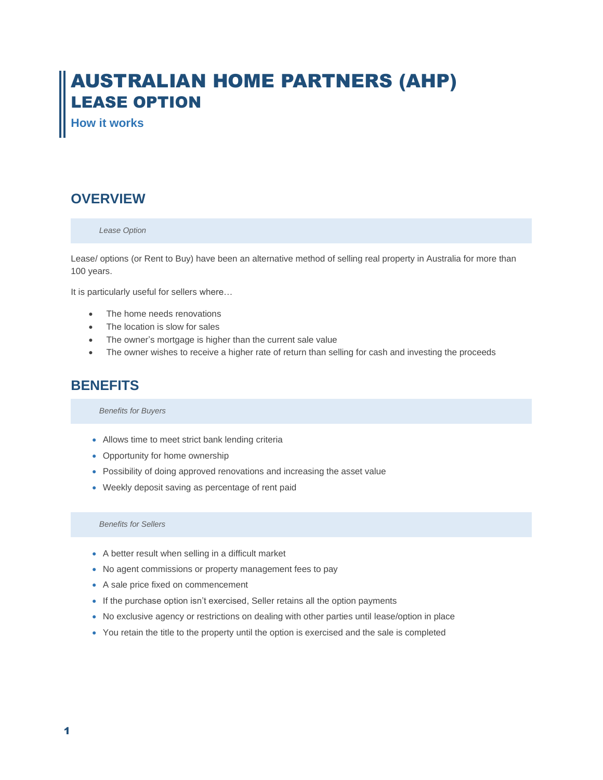# AUSTRALIAN HOME PARTNERS (AHP) LEASE OPTION

**How it works**

# **OVERVIEW**

#### *Lease Option*

Lease/ options (or Rent to Buy) have been an alternative method of selling real property in Australia for more than 100 years.

It is particularly useful for sellers where…

- The home needs renovations
- The location is slow for sales
- The owner's mortgage is higher than the current sale value
- The owner wishes to receive a higher rate of return than selling for cash and investing the proceeds

# **BENEFITS**

*Benefits for Buyers*

- Allows time to meet strict bank lending criteria
- Opportunity for home ownership
- Possibility of doing approved renovations and increasing the asset value
- Weekly deposit saving as percentage of rent paid

*Benefits for Sellers*

- A better result when selling in a difficult market
- No agent commissions or property management fees to pay
- A sale price fixed on commencement
- If the purchase option isn't exercised, Seller retains all the option payments
- No exclusive agency or restrictions on dealing with other parties until lease/option in place
- You retain the title to the property until the option is exercised and the sale is completed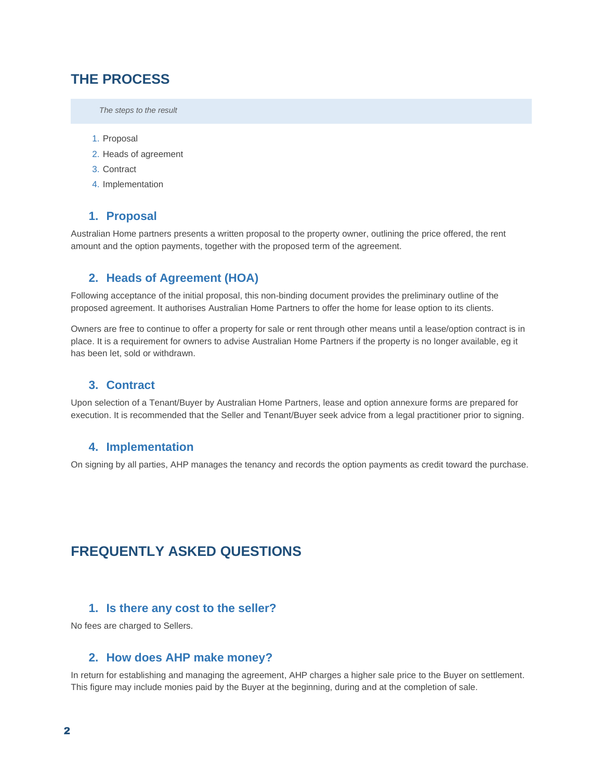# **THE PROCESS**

*The steps to the result*

- 1. Proposal
- 2. Heads of agreement
- 3. Contract
- 4. Implementation

#### **1. Proposal**

Australian Home partners presents a written proposal to the property owner, outlining the price offered, the rent amount and the option payments, together with the proposed term of the agreement.

#### **2. Heads of Agreement (HOA)**

Following acceptance of the initial proposal, this non-binding document provides the preliminary outline of the proposed agreement. It authorises Australian Home Partners to offer the home for lease option to its clients.

Owners are free to continue to offer a property for sale or rent through other means until a lease/option contract is in place. It is a requirement for owners to advise Australian Home Partners if the property is no longer available, eg it has been let, sold or withdrawn.

#### **3. Contract**

Upon selection of a Tenant/Buyer by Australian Home Partners, lease and option annexure forms are prepared for execution. It is recommended that the Seller and Tenant/Buyer seek advice from a legal practitioner prior to signing.

#### **4. Implementation**

On signing by all parties, AHP manages the tenancy and records the option payments as credit toward the purchase.

# **FREQUENTLY ASKED QUESTIONS**

#### **1. Is there any cost to the seller?**

No fees are charged to Sellers.

#### **2. How does AHP make money?**

In return for establishing and managing the agreement, AHP charges a higher sale price to the Buyer on settlement. This figure may include monies paid by the Buyer at the beginning, during and at the completion of sale.